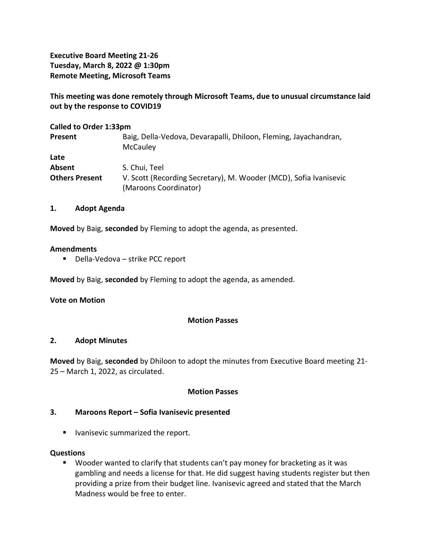**Executive Board Meeting 21-26 Tuesday, March 8, 2022 @ 1:30pm Remote Meeting, Microsoft Teams**

**This meeting was done remotely through Microsoft Teams, due to unusual circumstance laid out by the response to COVID19**

| <b>Called to Order 1:33pm</b> |                                                                                            |
|-------------------------------|--------------------------------------------------------------------------------------------|
| Present                       | Baig, Della-Vedova, Devarapalli, Dhiloon, Fleming, Jayachandran,<br>McCauley               |
| Late                          |                                                                                            |
| Absent                        | S. Chui, Teel                                                                              |
| <b>Others Present</b>         | V. Scott (Recording Secretary), M. Wooder (MCD), Sofia Ivanisevic<br>(Maroons Coordinator) |

### **1. Adopt Agenda**

**Moved** by Baig, **seconded** by Fleming to adopt the agenda, as presented.

### **Amendments**

■ Della-Vedova – strike PCC report

**Moved** by Baig, **seconded** by Fleming to adopt the agenda, as amended.

### **Vote on Motion**

### **Motion Passes**

### **2. Adopt Minutes**

**Moved** by Baig, **seconded** by Dhiloon to adopt the minutes from Executive Board meeting 21- 25 – March 1, 2022, as circulated.

### **Motion Passes**

## **3. Maroons Report – Sofia Ivanisevic presented**

■ Ivanisevic summarized the report.

### **Questions**

■ Wooder wanted to clarify that students can't pay money for bracketing as it was gambling and needs a license for that. He did suggest having students register but then providing a prize from their budget line. Ivanisevic agreed and stated that the March Madness would be free to enter.